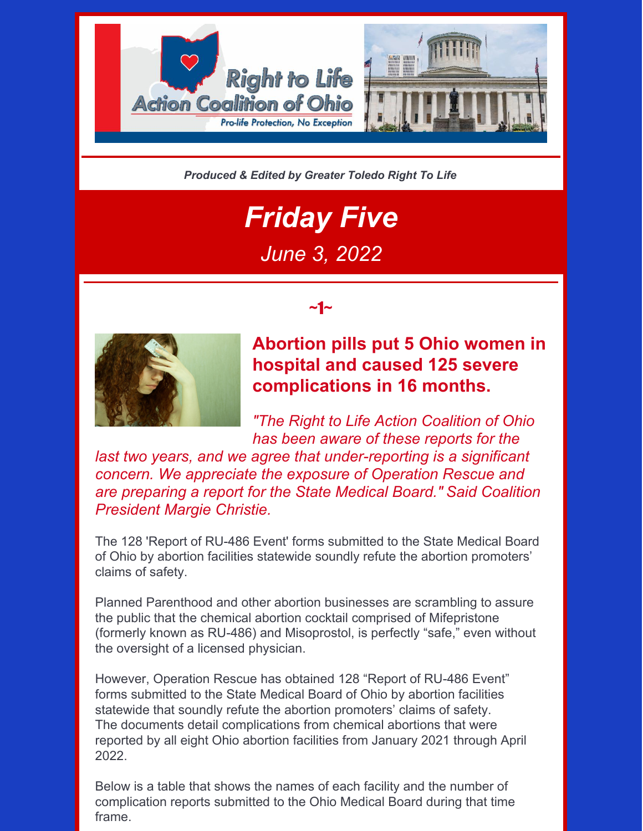

*Produced & Edited by Greater Toledo Right To Life*

# *Friday Five June 3, 2022*

~1~



### **Abortion pills put 5 Ohio women in hospital and caused 125 severe complications in 16 months.**

*"The Right to Life Action Coalition of Ohio has been aware of these reports for the*

*last two years, and we agree that under-reporting is a significant concern. We appreciate the exposure of Operation Rescue and are preparing a report for the State Medical Board." Said Coalition President Margie Christie.*

The 128 'Report of RU-486 Event' forms submitted to the State Medical Board of Ohio by abortion facilities statewide soundly refute the abortion promoters' claims of safety.

Planned Parenthood and other abortion businesses are scrambling to assure the public that the chemical abortion cocktail comprised of Mifepristone (formerly known as RU-486) and Misoprostol, is perfectly "safe," even without the oversight of a licensed physician.

However, Operation Rescue has obtained 128 "Report of RU-486 Event" forms submitted to the State Medical Board of Ohio by abortion facilities statewide that soundly refute the abortion promoters' claims of safety. The documents detail complications from chemical abortions that were reported by all eight Ohio abortion facilities from January 2021 through April 2022.

Below is a table that shows the names of each facility and the number of complication reports submitted to the Ohio Medical Board during that time frame.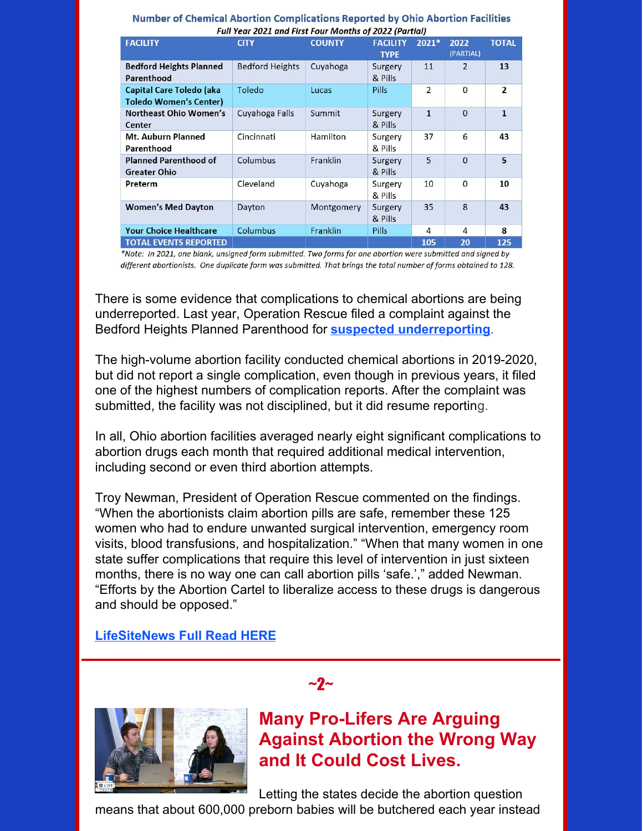| Full Year 2021 and First Four Months of 2022 (Partial)           |                        |               |                                |                |                   |                |  |  |  |  |  |  |
|------------------------------------------------------------------|------------------------|---------------|--------------------------------|----------------|-------------------|----------------|--|--|--|--|--|--|
| <b>FACILITY</b>                                                  | <b>CITY</b>            | <b>COUNTY</b> | <b>FACILITY</b><br><b>TYPE</b> | 2021*          | 2022<br>(PARTIAL) | <b>TOTAL</b>   |  |  |  |  |  |  |
| <b>Bedford Heights Planned</b><br>Parenthood                     | <b>Bedford Heights</b> | Cuyahoga      | Surgery<br>& Pills             | 11             | 2                 | 13             |  |  |  |  |  |  |
| <b>Capital Care Toledo (aka</b><br><b>Toledo Women's Center)</b> | Toledo                 | Lucas         | <b>Pills</b>                   | $\overline{2}$ | 0                 | $\overline{2}$ |  |  |  |  |  |  |
| <b>Northeast Ohio Women's</b><br>Center                          | Cuyahoga Falls         | Summit        | Surgery<br>& Pills             | $\mathbf{1}$   | $\mathbf{0}$      | $\mathbf{1}$   |  |  |  |  |  |  |
| Mt. Auburn Planned<br>Parenthood                                 | Cincinnati             | Hamilton      | Surgery<br>& Pills             | 37             | 6                 | 43             |  |  |  |  |  |  |
| <b>Planned Parenthood of</b><br><b>Greater Ohio</b>              | Columbus               | Franklin      | Surgery<br>& Pills             | 5              | $\Omega$          | 5              |  |  |  |  |  |  |
| Preterm                                                          | Cleveland              | Cuyahoga      | 10<br>Surgery<br>& Pills       |                | 0                 | 10             |  |  |  |  |  |  |
| <b>Women's Med Dayton</b>                                        | Dayton                 | Montgomery    | Surgery<br>& Pills             | 35             | 8                 | 43             |  |  |  |  |  |  |
| <b>Your Choice Healthcare</b>                                    | Columbus               | Franklin      | <b>Pills</b>                   | $\overline{4}$ | 4                 | 8              |  |  |  |  |  |  |
| <b>TOTAL EVENTS REPORTED</b>                                     |                        |               |                                | 105            | 20                | 125            |  |  |  |  |  |  |

|  | Number of Chemical Abortion Complications Reported by Ohio Abortion Facilities |  |  |
|--|--------------------------------------------------------------------------------|--|--|
|  | Full Year 2021 and First Four Months of 2022 (Partial)                         |  |  |

\*Note: In 2021, one blank, unsigned form submitted. Two forms for one abortion were submitted and signed by different abortionists. One duplicate form was submitted. That brings the total number of forms obtained to 128.

There is some evidence that complications to chemical abortions are being underreported. Last year, Operation Rescue filed a complaint against the Bedford Heights Planned Parenthood for **suspected [underreporting](https://www.operationrescue.org/archives/ohio-abortion-pill-complications-reported-in-2020-raise-possibility-of-incomplete-reporting/)**.

The high-volume abortion facility conducted chemical abortions in 2019-2020, but did not report a single complication, even though in previous years, it filed one of the highest numbers of complication reports. After the complaint was submitted, the facility was not disciplined, but it did resume reporting.

In all, Ohio abortion facilities averaged nearly eight significant complications to abortion drugs each month that required additional medical intervention, including second or even third abortion attempts.

Troy Newman, President of Operation Rescue commented on the findings. "When the abortionists claim abortion pills are safe, remember these 125 women who had to endure unwanted surgical intervention, emergency room visits, blood transfusions, and hospitalization." "When that many women in one state suffer complications that require this level of intervention in just sixteen months, there is no way one can call abortion pills 'safe.'," added Newman. "Efforts by the Abortion Cartel to liberalize access to these drugs is dangerous and should be opposed."

 $\sim$ 2 $\sim$ 

#### **[LifeSiteNews](https://www.lifesitenews.com/news/ohio-in-just-16-months-abortion-pills-caused-125-serious-complications-put-5-women-in-the-hospital/) Full Read HERE**



**Many Pro-Lifers Are Arguing Against Abortion the Wrong Way and It Could Cost Lives.**

Letting the states decide the abortion question

means that about 600,000 preborn babies will be butchered each year instead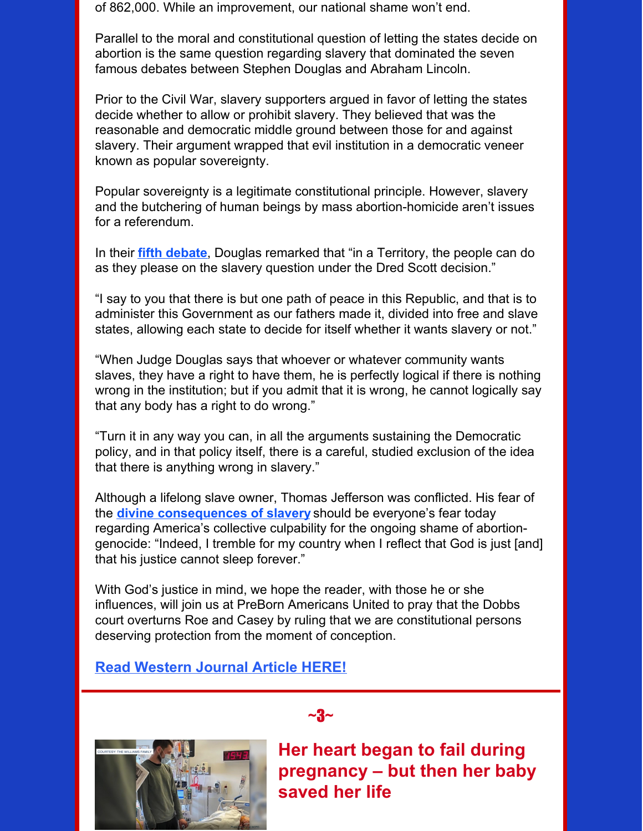of 862,000. While an improvement, our national shame won't end.

Parallel to the moral and constitutional question of letting the states decide on abortion is the same question regarding slavery that dominated the seven famous debates between Stephen Douglas and Abraham Lincoln.

Prior to the Civil War, slavery supporters argued in favor of letting the states decide whether to allow or prohibit slavery. They believed that was the reasonable and democratic middle ground between those for and against slavery. Their argument wrapped that evil institution in a democratic veneer known as popular sovereignty.

Popular sovereignty is a legitimate constitutional principle. However, slavery and the butchering of human beings by mass abortion-homicide aren't issues for a referendum.

In their **fifth [debate](https://teachingamericanhistory.org/document/the-lincoln-douglas-debates-5th-debate/)**, Douglas remarked that "in a Territory, the people can do as they please on the slavery question under the Dred Scott decision."

"I say to you that there is but one path of peace in this Republic, and that is to administer this Government as our fathers made it, divided into free and slave states, allowing each state to decide for itself whether it wants slavery or not."

"When Judge Douglas says that whoever or whatever community wants slaves, they have a right to have them, he is perfectly logical if there is nothing wrong in the institution; but if you admit that it is wrong, he cannot logically say that any body has a right to do wrong."

"Turn it in any way you can, in all the arguments sustaining the Democratic policy, and in that policy itself, there is a careful, studied exclusion of the idea that there is anything wrong in slavery."

Although a lifelong slave owner, Thomas Jefferson was conflicted. His fear of the **divine [consequences](https://teachingamericanhistory.org/document/notes-on-the-state-of-virginia-2/) of slavery** should be everyone's fear today regarding America's collective culpability for the ongoing shame of abortiongenocide: "Indeed, I tremble for my country when I reflect that God is just [and] that his justice cannot sleep forever."

With God's justice in mind, we hope the reader, with those he or she influences, will join us at PreBorn Americans United to pray that the Dobbs court overturns Roe and Casey by ruling that we are constitutional persons deserving protection from the moment of conception.

#### **Read [Western](https://www.westernjournal.com/op-ed-many-pro-lifers-arguing-abortion-wrong-way-cost-lives/) Journal Article HERE!**



**Her heart began to fail during pregnancy – but then her baby saved her life**

 $\sim$ 3 $\sim$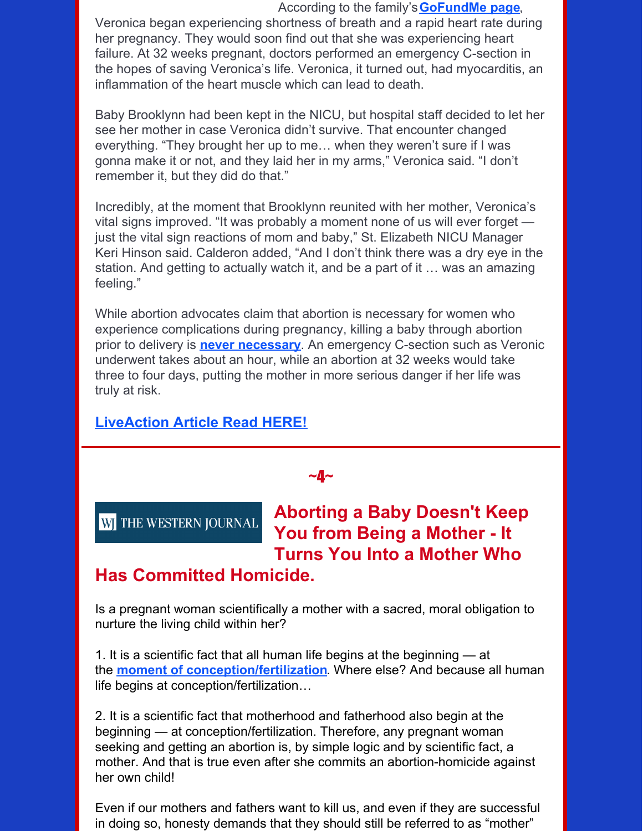#### According to the family's**[GoFundMe](https://www.gofundme.com/f/veronica-williams) page**,

Veronica began experiencing shortness of breath and a rapid heart rate during her pregnancy. They would soon find out that she was experiencing heart failure. At 32 weeks pregnant, doctors performed an emergency C-section in the hopes of saving Veronica's life. Veronica, it turned out, had myocarditis, an inflammation of the heart muscle which can lead to death.

Baby Brooklynn had been kept in the NICU, but hospital staff decided to let her see her mother in case Veronica didn't survive. That encounter changed everything. "They brought her up to me… when they weren't sure if I was gonna make it or not, and they laid her in my arms," Veronica said. "I don't remember it, but they did do that."

Incredibly, at the moment that Brooklynn reunited with her mother, Veronica's vital signs improved. "It was probably a moment none of us will ever forget just the vital sign reactions of mom and baby," St. Elizabeth NICU Manager Keri Hinson said. Calderon added, "And I don't think there was a dry eye in the station. And getting to actually watch it, and be a part of it … was an amazing feeling."

While abortion advocates claim that abortion is necessary for women who experience complications during pregnancy, killing a baby through abortion prior to delivery is **never [necessary](https://www.liveaction.org/news/pro-life-replies-abortion-never-medically-necessary/)**. An emergency C-section such as Veronic underwent takes about an hour, while an abortion at 32 weeks would take three to four days, putting the mother in more serious danger if her life was truly at risk.

### **[LiveAction](https://www.liveaction.org/news/pregnancy-heart-fail-baby/?_hsmi=214947337) Article Read HERE!**

 $-4-$ 

**W** THE WESTERN JOURNAL

## **Aborting a Baby Doesn't Keep You from Being a Mother - It Turns You Into a Mother Who**

### **Has Committed Homicide.**

Is a pregnant woman scientifically a mother with a sacred, moral obligation to nurture the living child within her?

1. It is a scientific fact that all human life begins at the beginning — at the **moment of [conception/fertilization](https://www.princeton.edu/~prolife/articles/wdhbb.html)**. Where else? And because all human life begins at conception/fertilization…

2. It is a scientific fact that motherhood and fatherhood also begin at the beginning — at conception/fertilization. Therefore, any pregnant woman seeking and getting an abortion is, by simple logic and by scientific fact, a mother. And that is true even after she commits an abortion-homicide against her own child!

Even if our mothers and fathers want to kill us, and even if they are successful in doing so, honesty demands that they should still be referred to as "mother"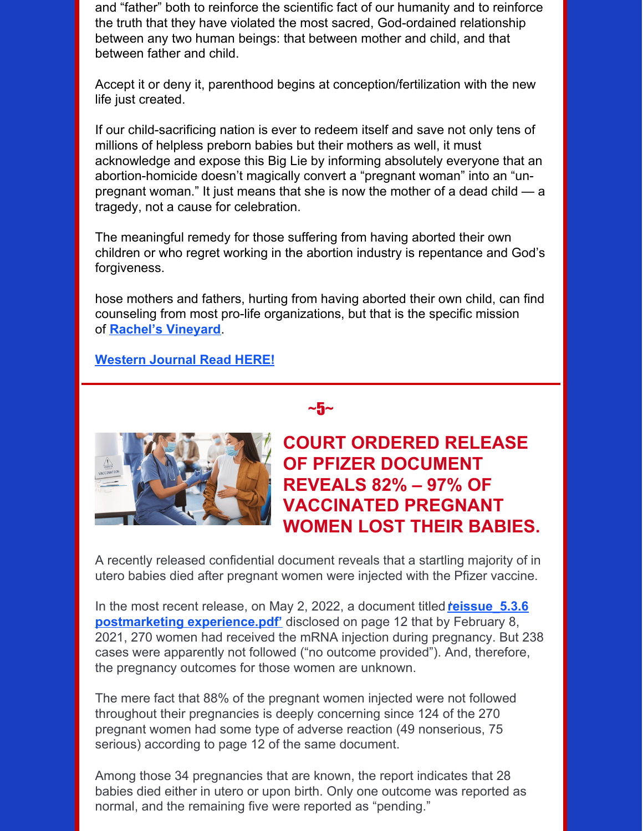and "father" both to reinforce the scientific fact of our humanity and to reinforce the truth that they have violated the most sacred, God-ordained relationship between any two human beings: that between mother and child, and that between father and child.

Accept it or deny it, parenthood begins at conception/fertilization with the new life just created.

If our child-sacrificing nation is ever to redeem itself and save not only tens of millions of helpless preborn babies but their mothers as well, it must acknowledge and expose this Big Lie by informing absolutely everyone that an abortion-homicide doesn't magically convert a "pregnant woman" into an "unpregnant woman." It just means that she is now the mother of a dead child — a tragedy, not a cause for celebration.

The meaningful remedy for those suffering from having aborted their own children or who regret working in the abortion industry is repentance and God's forgiveness.

hose mothers and fathers, hurting from having aborted their own child, can find counseling from most pro-life organizations, but that is the specific mission of **Rachel's [Vineyard](https://www.rachelsvineyard.org/)**.

#### **[Western](https://www.westernjournal.com/op-ed-aborting-baby-doesnt-keep-mother-turns-mother-committed-homicide/) Journal Read HERE!**

### $~1$ ~5 $~\sim$



### **COURT ORDERED RELEASE OF PFIZER DOCUMENT REVEALS 82% – 97% OF VACCINATED PREGNANT WOMEN LOST THEIR BABIES.**

A recently released confidential document reveals that a startling majority of in utero babies died after pregnant women were injected with the Pfizer vaccine.

In the most recent release, on May 2, 2022, a document titled **reissue 5.3.6 postmarketing [experience.pdf'](https://phmpt.org/wp-content/uploads/2022/04/reissue_5.3.6-postmarketing-experience.pdf)** disclosed on page 12 that by February 8, 2021, 270 women had received the mRNA injection during pregnancy. But 238 cases were apparently not followed ("no outcome provided"). And, therefore, the pregnancy outcomes for those women are unknown.

The mere fact that 88% of the pregnant women injected were not followed throughout their pregnancies is deeply concerning since 124 of the 270 pregnant women had some type of adverse reaction (49 nonserious, 75 serious) according to page 12 of the same document.

Among those 34 pregnancies that are known, the report indicates that 28 babies died either in utero or upon birth. Only one outcome was reported as normal, and the remaining five were reported as "pending."